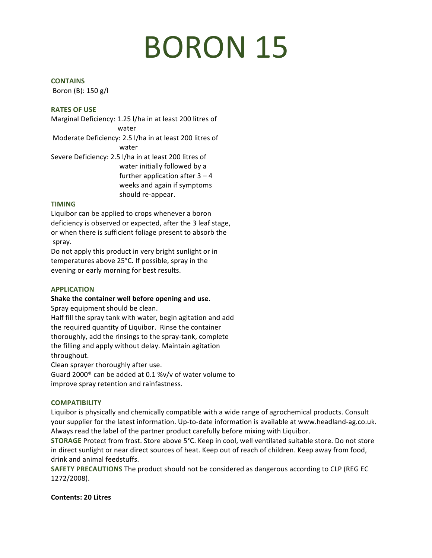# **BORON 15**

#### **CONTAINS**

Boron  $(B)$ : 150 g/l

#### **RATES OF USE**

Marginal Deficiency: 1.25 l/ha in at least 200 litres of water Moderate Deficiency: 2.5 l/ha in at least 200 litres of water Severe Deficiency: 2.5 l/ha in at least 200 litres of water initially followed by a further application after  $3 - 4$ weeks and again if symptoms should re-appear.

#### **TIMING**

Liquibor can be applied to crops whenever a boron deficiency is observed or expected, after the 3 leaf stage, or when there is sufficient foliage present to absorb the spray. 

Do not apply this product in very bright sunlight or in temperatures above 25°C. If possible, spray in the evening or early morning for best results.

## **APPLICATION**

## Shake the container well before opening and use.

Spray equipment should be clean.

Half fill the spray tank with water, begin agitation and add the required quantity of Liquibor. Rinse the container thoroughly, add the rinsings to the spray-tank, complete the filling and apply without delay. Maintain agitation throughout. 

Clean sprayer thoroughly after use.

Guard 2000 $^{\circ}$  can be added at 0.1 %v/v of water volume to improve spray retention and rainfastness.

## **COMPATIBILITY**

Liquibor is physically and chemically compatible with a wide range of agrochemical products. Consult your supplier for the latest information. Up-to-date information is available at www.headland-ag.co.uk. Always read the label of the partner product carefully before mixing with Liquibor.

**STORAGE** Protect from frost. Store above 5°C. Keep in cool, well ventilated suitable store. Do not store in direct sunlight or near direct sources of heat. Keep out of reach of children. Keep away from food, drink and animal feedstuffs.

**SAFETY PRECAUTIONS** The product should not be considered as dangerous according to CLP (REG EC 1272/2008).

#### **Contents: 20 Litres**